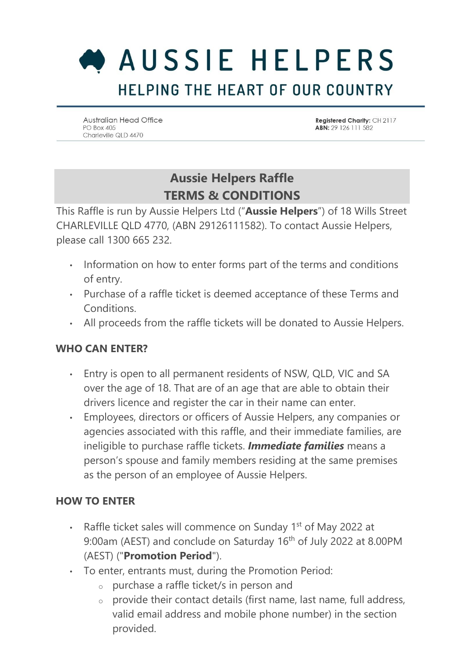# AUSSIE HELPERS HELPING THE HEART OF OUR COUNTRY

**Australian Head Office** PO Box 405 Charleville QLD 4470

Registered Charity: CH 2117 ABN: 29 126 111 582

### **Aussie Helpers Raffle TERMS & CONDITIONS**

This Raffle is run by Aussie Helpers Ltd ("**Aussie Helpers**") of 18 Wills Street CHARLEVILLE QLD 4770, (ABN 29126111582). To contact Aussie Helpers, please call 1300 665 232.

- Information on how to enter forms part of the terms and conditions of entry.
- Purchase of a raffle ticket is deemed acceptance of these Terms and Conditions.
- All proceeds from the raffle tickets will be donated to Aussie Helpers.

#### **WHO CAN ENTER?**

- Entry is open to all permanent residents of NSW, QLD, VIC and SA over the age of 18. That are of an age that are able to obtain their drivers licence and register the car in their name can enter.
- Employees, directors or officers of Aussie Helpers, any companies or agencies associated with this raffle, and their immediate families, are ineligible to purchase raffle tickets. *Immediate families* means a person's spouse and family members residing at the same premises as the person of an employee of Aussie Helpers.

#### **HOW TO ENTER**

- Raffle ticket sales will commence on Sunday 1<sup>st</sup> of May 2022 at 9:00am (AEST) and conclude on Saturday 16<sup>th</sup> of July 2022 at 8.00PM (AEST) ("**Promotion Period**").
- To enter, entrants must, during the Promotion Period:
	- o purchase a raffle ticket/s in person and
	- $\circ$  provide their contact details (first name, last name, full address, valid email address and mobile phone number) in the section provided.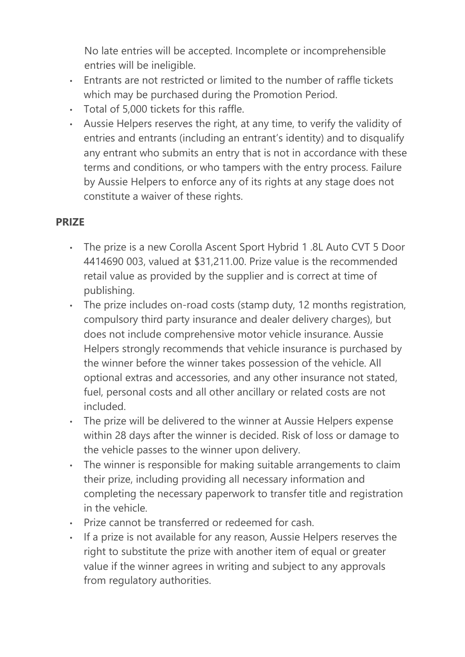No late entries will be accepted. Incomplete or incomprehensible entries will be ineligible.

- Entrants are not restricted or limited to the number of raffle tickets which may be purchased during the Promotion Period.
- Total of 5,000 tickets for this raffle.
- Aussie Helpers reserves the right, at any time, to verify the validity of entries and entrants (including an entrant's identity) and to disqualify any entrant who submits an entry that is not in accordance with these terms and conditions, or who tampers with the entry process. Failure by Aussie Helpers to enforce any of its rights at any stage does not constitute a waiver of these rights.

#### **PRIZE**

- The prize is a new Corolla Ascent Sport Hybrid 1 .8L Auto CVT 5 Door 4414690 003, valued at \$31,211.00. Prize value is the recommended retail value as provided by the supplier and is correct at time of publishing.
- The prize includes on-road costs (stamp duty, 12 months registration, compulsory third party insurance and dealer delivery charges), but does not include comprehensive motor vehicle insurance. Aussie Helpers strongly recommends that vehicle insurance is purchased by the winner before the winner takes possession of the vehicle. All optional extras and accessories, and any other insurance not stated, fuel, personal costs and all other ancillary or related costs are not included.
- The prize will be delivered to the winner at Aussie Helpers expense within 28 days after the winner is decided. Risk of loss or damage to the vehicle passes to the winner upon delivery.
- The winner is responsible for making suitable arrangements to claim their prize, including providing all necessary information and completing the necessary paperwork to transfer title and registration in the vehicle.
- Prize cannot be transferred or redeemed for cash.
- If a prize is not available for any reason, Aussie Helpers reserves the right to substitute the prize with another item of equal or greater value if the winner agrees in writing and subject to any approvals from regulatory authorities.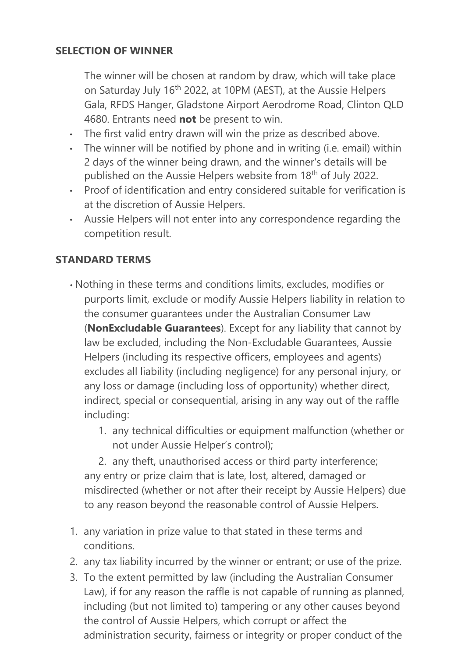#### **SELECTION OF WINNER**

The winner will be chosen at random by draw, which will take place on Saturday July 16th 2022, at 10PM (AEST), at the Aussie Helpers Gala, RFDS Hanger, Gladstone Airport Aerodrome Road, Clinton QLD 4680. Entrants need **not** be present to win.

- The first valid entry drawn will win the prize as described above.
- The winner will be notified by phone and in writing (i.e. email) within 2 days of the winner being drawn, and the winner's details will be published on the Aussie Helpers website from 18<sup>th</sup> of July 2022.
- Proof of identification and entry considered suitable for verification is at the discretion of Aussie Helpers.
- Aussie Helpers will not enter into any correspondence regarding the competition result.

#### **STANDARD TERMS**

- Nothing in these terms and conditions limits, excludes, modifies or purports limit, exclude or modify Aussie Helpers liability in relation to the consumer guarantees under the Australian Consumer Law (**NonExcludable Guarantees**). Except for any liability that cannot by law be excluded, including the Non-Excludable Guarantees, Aussie Helpers (including its respective officers, employees and agents) excludes all liability (including negligence) for any personal injury, or any loss or damage (including loss of opportunity) whether direct, indirect, special or consequential, arising in any way out of the raffle including:
	- 1. any technical difficulties or equipment malfunction (whether or not under Aussie Helper's control);

2. any theft, unauthorised access or third party interference; any entry or prize claim that is late, lost, altered, damaged or misdirected (whether or not after their receipt by Aussie Helpers) due to any reason beyond the reasonable control of Aussie Helpers.

- 1. any variation in prize value to that stated in these terms and conditions.
- 2. any tax liability incurred by the winner or entrant; or use of the prize.
- 3. To the extent permitted by law (including the Australian Consumer Law), if for any reason the raffle is not capable of running as planned, including (but not limited to) tampering or any other causes beyond the control of Aussie Helpers, which corrupt or affect the administration security, fairness or integrity or proper conduct of the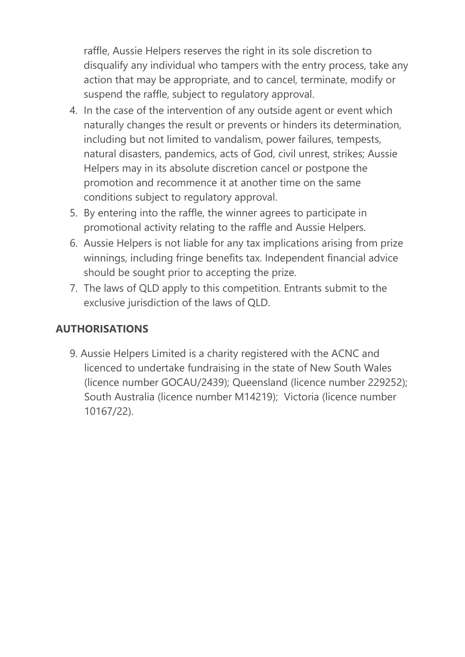raffle, Aussie Helpers reserves the right in its sole discretion to disqualify any individual who tampers with the entry process, take any action that may be appropriate, and to cancel, terminate, modify or suspend the raffle, subject to regulatory approval.

- 4. In the case of the intervention of any outside agent or event which naturally changes the result or prevents or hinders its determination, including but not limited to vandalism, power failures, tempests, natural disasters, pandemics, acts of God, civil unrest, strikes; Aussie Helpers may in its absolute discretion cancel or postpone the promotion and recommence it at another time on the same conditions subject to regulatory approval.
- 5. By entering into the raffle, the winner agrees to participate in promotional activity relating to the raffle and Aussie Helpers.
- 6. Aussie Helpers is not liable for any tax implications arising from prize winnings, including fringe benefits tax. Independent financial advice should be sought prior to accepting the prize.
- 7. The laws of QLD apply to this competition. Entrants submit to the exclusive jurisdiction of the laws of QLD.

#### **AUTHORISATIONS**

9. Aussie Helpers Limited is a charity registered with the ACNC and licenced to undertake fundraising in the state of New South Wales (licence number GOCAU/2439); Queensland (licence number 229252); South Australia (licence number M14219); Victoria (licence number 10167/22).